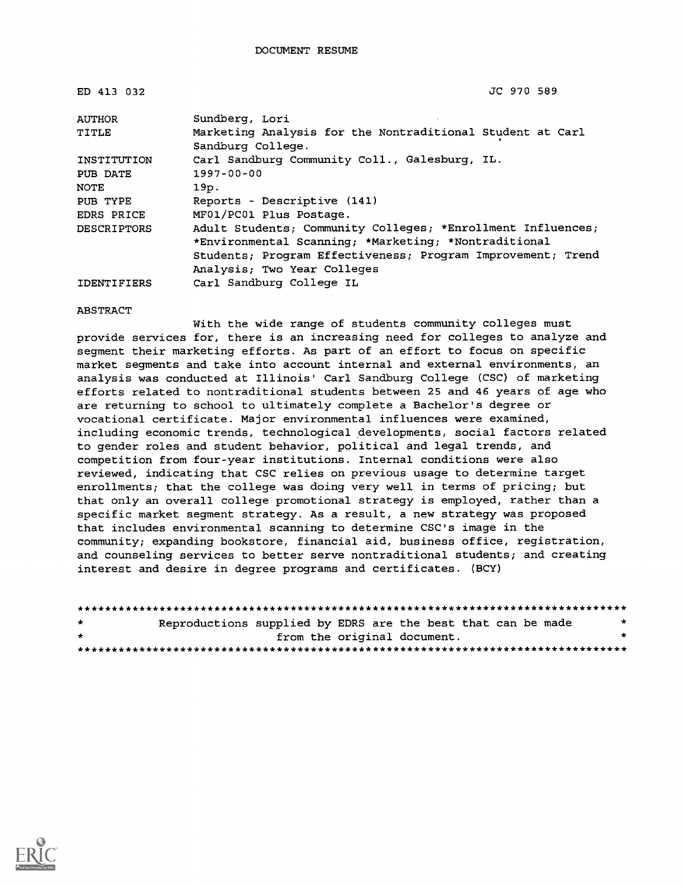| ED 413 032         | JC 970 589                                                                                                                                                                                                        |
|--------------------|-------------------------------------------------------------------------------------------------------------------------------------------------------------------------------------------------------------------|
| AUTHOR             | Sundberg, Lori                                                                                                                                                                                                    |
| TITLE              | Marketing Analysis for the Nontraditional Student at Carl<br>Sandburg College.                                                                                                                                    |
| INSTITUTION        | Carl Sandburg Community Coll., Galesburg, IL.                                                                                                                                                                     |
| PUB DATE           | $1997 - 00 - 00$                                                                                                                                                                                                  |
| NOTE               | 19p.                                                                                                                                                                                                              |
| PUB TYPE           | Reports - Descriptive (141)                                                                                                                                                                                       |
| <b>EDRS PRICE</b>  | MF01/PC01 Plus Postage.                                                                                                                                                                                           |
| <b>DESCRIPTORS</b> | Adult Students; Community Colleges; *Enrollment Influences;<br>*Environmental Scanning; *Marketing; *Nontraditional<br>Students; Program Effectiveness; Program Improvement; Trend<br>Analysis; Two Year Colleges |
| <b>IDENTIFIERS</b> | Carl Sandburg College IL                                                                                                                                                                                          |

#### ABSTRACT

With the wide range of students community colleges must provide services for, there is an increasing need for colleges to analyze and segment their marketing efforts. As part of an effort to focus on specific market segments and take into account internal and external environments, an analysis was conducted at Illinois' Carl Sandburg College (CSC) of marketing efforts related to nontraditional students between 25 and 46 years of age who are returning to school to ultimately complete a Bachelor's degree or vocational certificate. Major environmental influences were examined, including economic trends, technological developments, social factors related to gender roles and student behavior, political and legal trends, and competition from four-year institutions. Internal conditions were also reviewed, indicating that CSC relies on previous usage to determine target enrollments; that the college was doing very well in terms of pricing; but that only an overall college promotional strategy is employed, rather than a specific market segment strategy. As a result, a new strategy was proposed that includes environmental scanning to determine CSC's image in the community; expanding bookstore, financial aid, business office, registration, and counseling services to better serve nontraditional students; and creating interest and desire in degree programs and certificates. (BCY)

| $\star$ | Reproductions supplied by EDRS are the best that can be made |                             |  |  |  |
|---------|--------------------------------------------------------------|-----------------------------|--|--|--|
| $\star$ |                                                              | from the original document. |  |  |  |
|         |                                                              |                             |  |  |  |

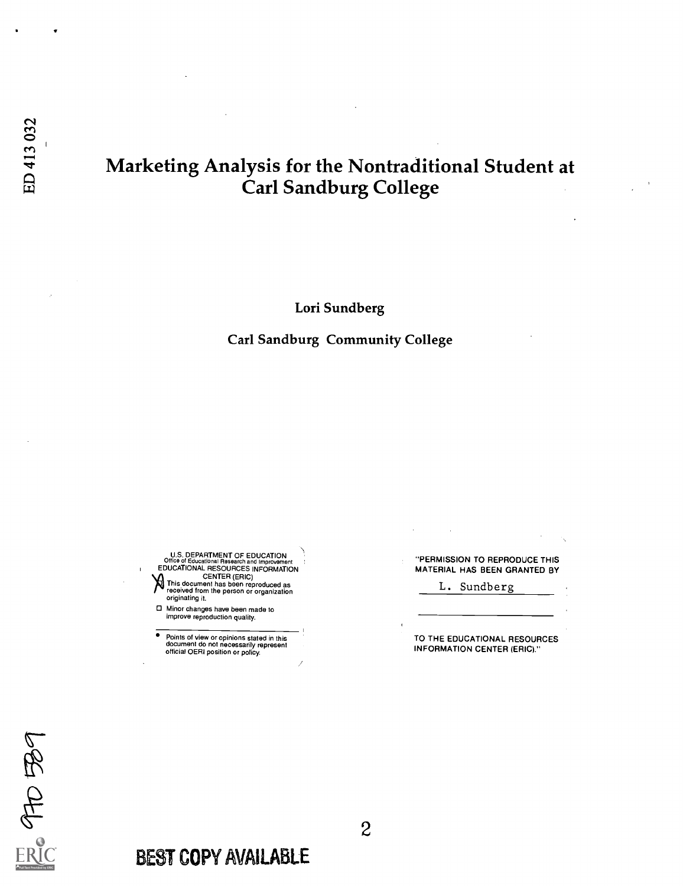### Marketing Analysis for the Nontraditional Student at Carl Sandburg College

Lori Sundberg

Carl Sandburg Community College

U.S. DEPARTMENT OF EDUCATION<br>Office of Educational Research and Improvement<br>EDUCATIONAL RESOURCES INFORMATION **This document has been reproduced as<br>received from the person or organization**<br>originating it.

Minor changes have been made to improve reproduction quality.

Points of view or opinions stated in this document do not necessarily represent official OERI position or policy.

"PERMISSION TO REPRODUCE THIS MATERIAL HAS BEEN GRANTED BY

L. Sundberg

TO THE EDUCATIONAL RESOURCES INFORMATION CENTER (ERIC)."

ofto Be

BEST COPY AVAILABLE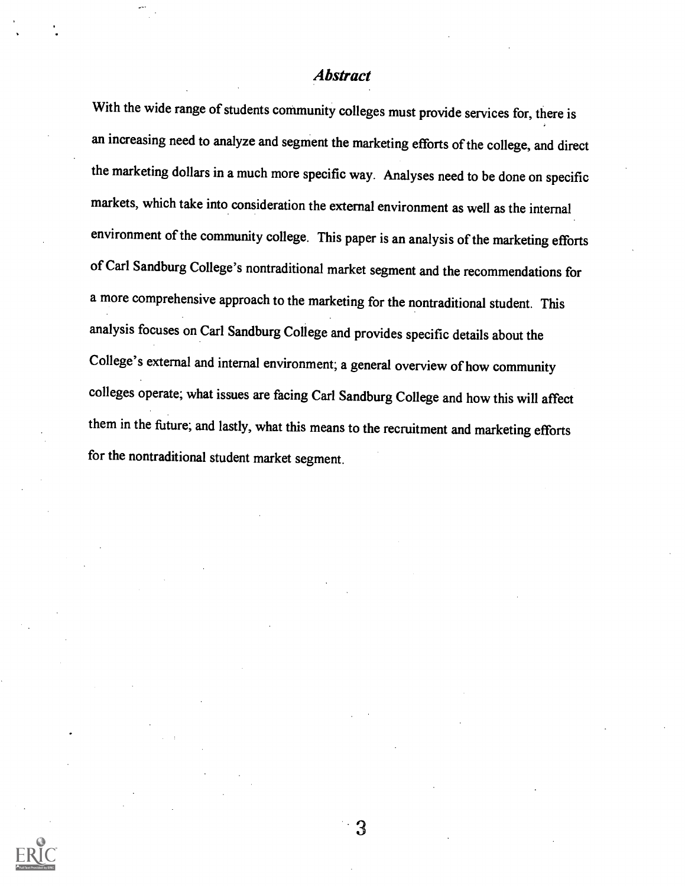#### **Abstract**

With the wide range of students community colleges must provide services for, there is an increasing need to analyze and segment the marketing efforts of the college, and direct the marketing dollars in a much more specific way. Analyses need to be done on specific markets, which take into consideration the external environment as well as the internal environment of the community college. This paper is an analysis of the marketing efforts of Carl Sandburg College's nontraditional market segment and the recommendations for a more comprehensive approach to the marketing for the nontraditional student. This analysis focuses on Carl Sandburg College and provides specific details about the College's external and internal environment; a general overview of how community colleges operate; what issues are facing Carl Sandburg College and how this will affect them in the future; and lastly, what this means to the recruitment and marketing efforts for the nontraditional student market segment.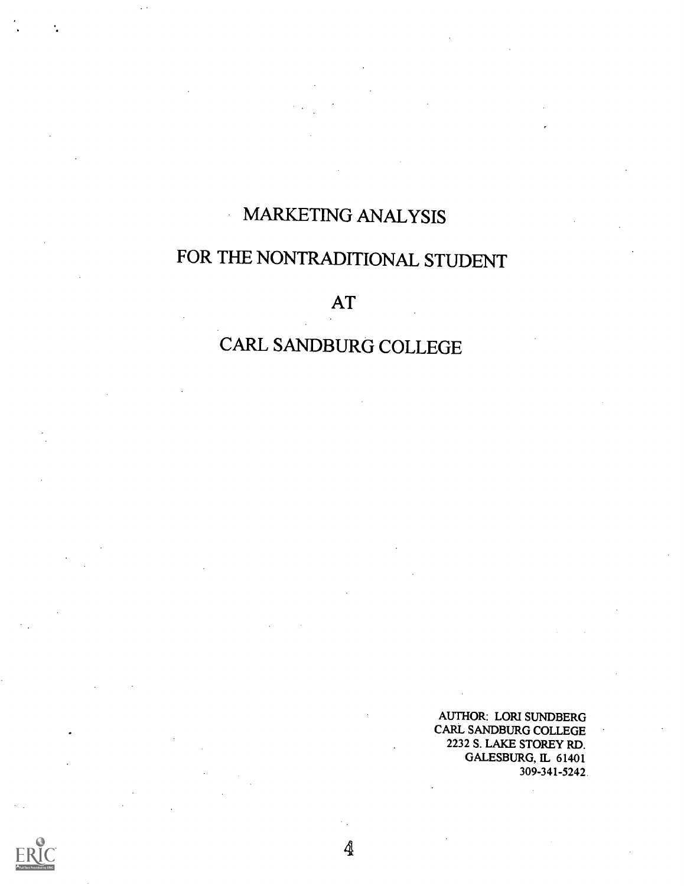## MARKETING ANALYSIS

 $\ddot{\phantom{a}}$ 

# FOR THE NONTRADITIONAL STUDENT

AT

# CARL SANDBURG COLLEGE

4

AUTHOR: LORI SUNDBERG CARL SANDBURG COLLEGE 2232 S. LAKE STOREY RD. GALESBURG, IL 61401 309 - 341 -5242.

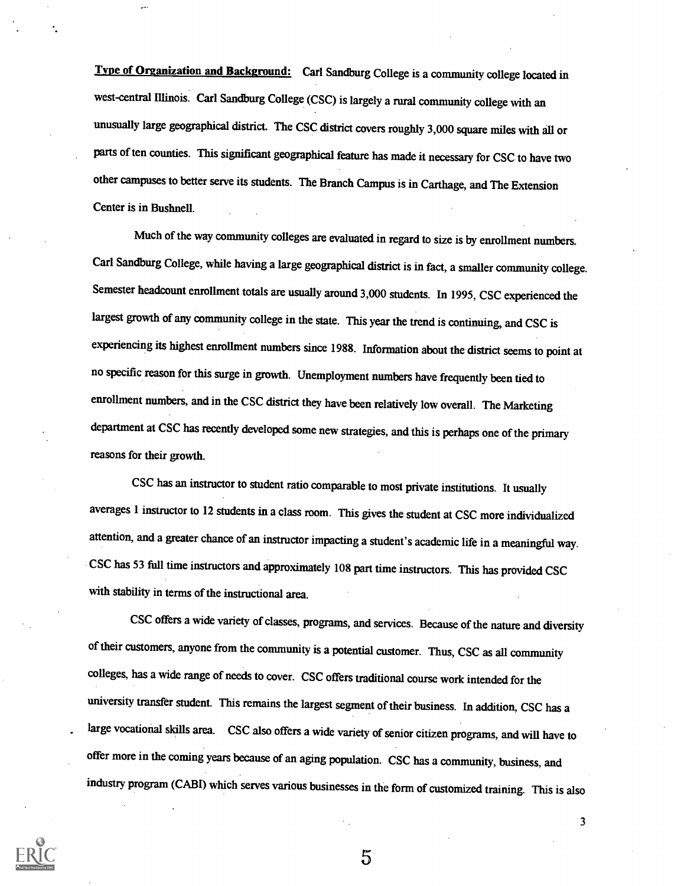Tyne of Organization and Background: Carl Sandburg College is a community college located in west-central Illinois. Carl Sandburg College (CSC) is largely a rural community college with an unusually large geographical district. The CSC district covers roughly 3,000 square miles with all or parts of ten counties. This significant geographical feature has made it necessary for CSC to have two other campuses to better serve its students. The Branch Campus is in Carthage, and The Extension Center is in Bushnell.

Much of the way community colleges are evaluated in regard to size is by enrollment numbers. Carl Sandburg College, while having a large geographical district is in fact, a smaller community college. Semester headcount enrollment totals are usually around 3,000 students. In 1995, CSC experienced the largest growth of any community college in the state. This year the trend is continuing, and CSC is experiencing its highest enrollment numbers since 1988. Information about the district seems to point at no specific reason for this surge in growth. Unemployment numbers have frequently been tied to enrollment numbers, and in the CSC district they have been relatively low overall. The Marketing department at CSC has recently developed some new strategies, and this is perhaps one of the primary reasons for their growth.

CSC has an instructor to student ratio comparable to most private institutions. It usually averages 1 instructor to 12 students in a class room. This gives the student at CSC more individualized attention, and a greater chance of an instructor impacting a student's academic life in a meaningful way. CSC has 53 full time instructors and approximately 108 part time instructors. This has provided CSC with stability in terms of the instructional area.

CSC offers a wide variety of classes, programs, and services. Because of the nature and diversity of their customers, anyone from the community is a potential customer. Thus, CSC as all community colleges, has a wide range of needs to cover. CSC offers traditional course work intended for the university transfer student. This remains the largest segment of their business. In addition, CSC has a large vocational skills area. CSC also offers a wide variety of senior citizen programs, and will have to offer more in the coming years because of an aging population. CSC has a community, business, and industry program (CAM) which serves various businesses in the form of customized training. This is also

5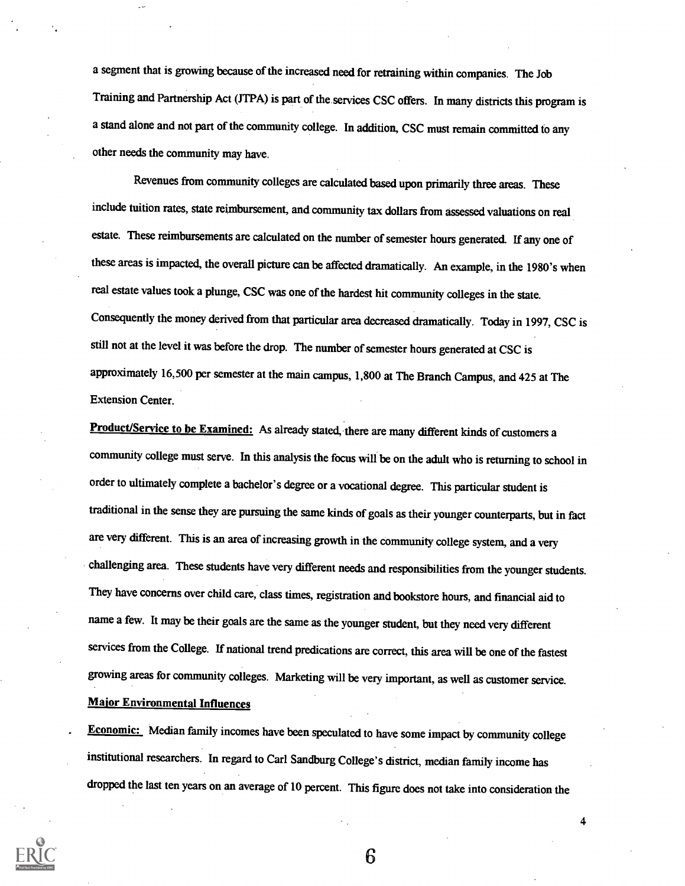a segment that is growing because of the increased need for retraining within companies. The Job Training and Partnership Act (JTPA) is part of the services CSC offers. In many districts this program is a stand alone and not part of the community college. In addition, CSC must remain committed to any other needs the community may have.

Revenues from community colleges are calculated based upon primarily three areas. These include tuition rates, state reimbursement, and community tax dollars from assessed valuations on real estate. These reimbursements are calculated on the number of semester hours generated. If any one of these areas is impacted, the overall picture can be affected dramatically. An example, in the 1980's when real estate values took a plunge, CSC was one of the hardest hit community colleges in the state. Consequently the money derived from that particular area decreased dramatically. Today in 1997, CSC is still not at the level it was before the drop. The number of semester hours generated at CSC is approximately 16,500 per semester at the main campus, 1,800 at The Branch Campus, and 425 at The Extension Center.

Product/Service to be Examined: As already stated, there are many different kinds of customers a community college must serve. In this analysis the focus will be on the adult who is returning to school in order to ultimately complete a bachelor's degree or a vocational degree. This particular student is traditional in the sense they are pursuing the same kinds of goals as their younger counterparts, but in fact are very different. This is an area of increasing growth in the community college system, and a very challenging area. These students have very different needs and responsibilities from the younger students. They have concerns over child care, class times, registration and bookstore hours, and financial aid to name a few. It may be their goals are the same as the younger student, but they need very different services from the College. If national trend predications are correct, this area will be one of the fastest growing areas for community colleges. Marketing will be very important, as well as customer service. Major Environmental Influences

**Economic:** Median family incomes have been speculated to have some impact by community college institutional researchers. In regard to Carl Sandburg College's district, median family income has dropped the last ten years on an average of 10 percent. This figure does not take into consideration the



6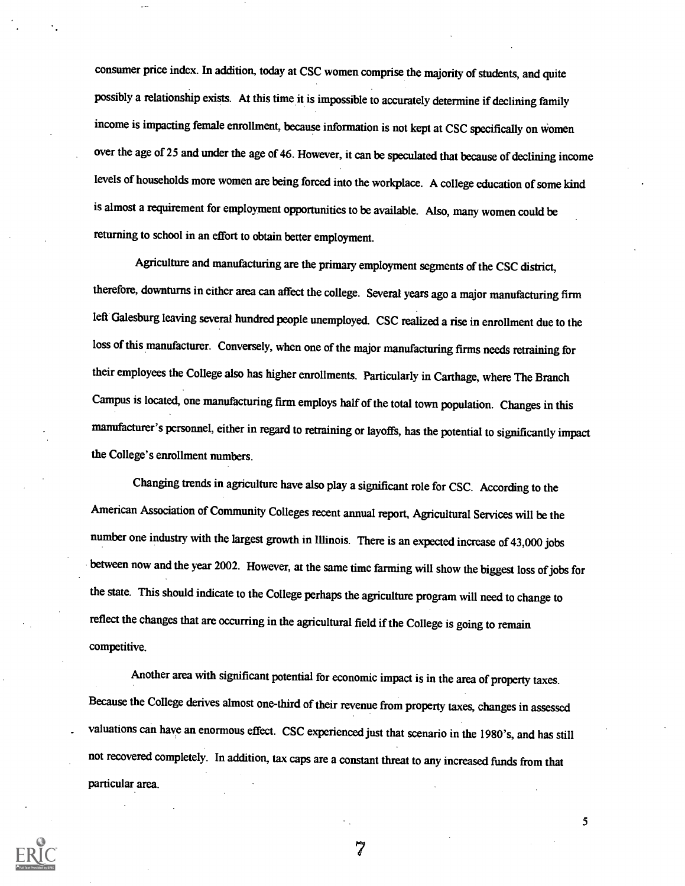consumer price index. In addition, today at CSC women comprise the majority of students, and quite possibly a relationship exists. At this time it is impossible to accurately determine if declining family income is impacting female enrollment, because information is not kept at CSC specifically on women over the age of 25 and under the age of 46. However, it can be speculated that because of declining income levels of households more women are being forced into the workplace. A college education of some kind is almost a requirement for employment opportunities to be available. Also, many women could be returning to school in an effort to obtain better employment.

Agriculture and manufacturing are the primary employment segments of the CSC district, therefore, downturns in either area can affect the college. Several years ago a major manufacturing firm left Galesburg leaving several hundred people unemployed. CSC realized a rise in enrollment due to the loss of this manufacturer. Conversely, when one of the major manufacturing firms needs retraining for their employees the College also has higher enrollments. Particularly in Carthage, where The Branch Campus is located, one manufacturing firm employs half of the total town population. Changes in this manufacturer's personnel, either in regard to retraining or layoffs, has the potential to significantly impact the College's enrollment numbers.

Changing trends in agriculture have also play a significant role for CSC. According to the American Association of Community Colleges recent annual report, Agricultural Services will be the number one industry with the largest growth in Illinois. There is an expected increase of 43,000 jobs between now and the year 2002. However, at the same time farming will show the biggest loss of jobs for the state. This should indicate to the College perhaps the agriculture program will need to change to reflect the changes that are occurring in the agricultural field if the College is going to remain competitive.

Another area with significant potential for economic impact is in the area of property taxes. Because the College derives almost one-third of their revenue from property taxes, changes in assessed valuations can have an enormous effect. CSC experienced just that scenario in the 1980's, and has still not recovered completely. In addition, tax caps are a constant threat to any increased funds from that particular area.

7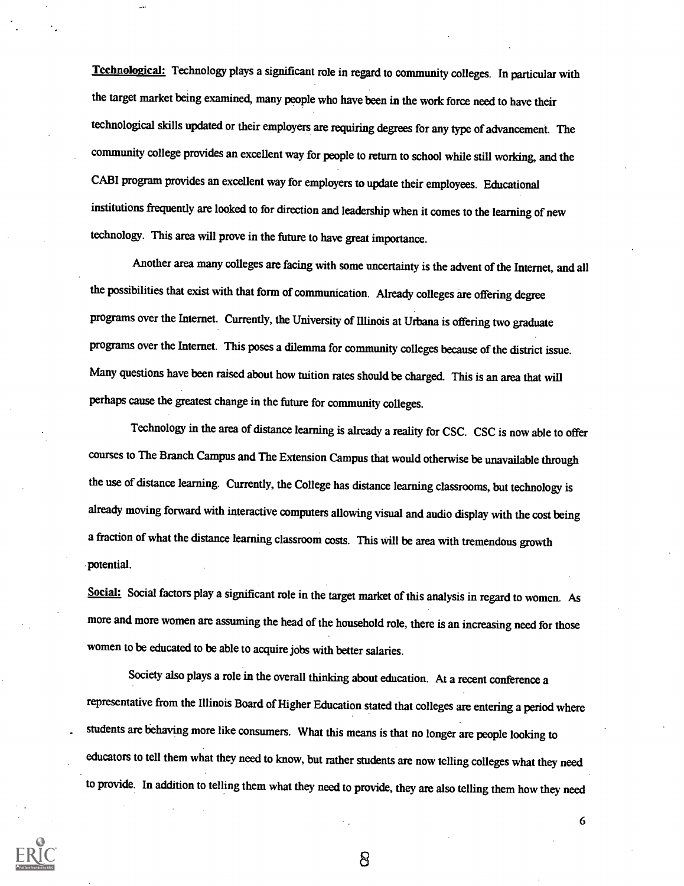Technological: Technology plays a significant role in regard to community colleges. In particular with the target market being examined, many people who have been in the work force need to have their technological skills updated or their employers are requiring degrees for any type of advancement. The community college provides an excellent way for people to return to school while still working, and the CABI program provides an excellent way for employers to update their employees. Educational institutions frequently are looked to for direction and leadership when it comes to the learning of new technology. This area will prove in the future to have great importance.

Another area many colleges are facing with some uncertainty is the advent of the Internet, and all the possibilities that exist with that form of communication. Already colleges are offering degree programs over the Internet. Currently, the University of Illinois at Urbana is offering two graduate programs over the Internet. This poses a dilemma for community colleges because of the district issue. Many questions have been raised about how tuition rates should be charged. This is an area that will perhaps cause the greatest change in the future for community colleges.

Technology in the area of distance learning is already a reality for CSC. CSC is now able to offer courses to The Branch Campus and The Extension Campus that would otherwise be unavailable through the use of distance learning. Currently, the College has distance learning classrooms, but technology is already moving forward with interactive computers allowing visual and audio display with the cost being a fraction of what the distance learning classroom costs. This will be area with tremendous growth potential.

Social: Social factors play a significant role in the target market of this analysis in regard to women. As more and more women are assuming the head of the household role, there is an increasing need for those women to be educated to be able to acquire jobs with better salaries.

Society also plays a role in the overall thinking about education. At a recent conference a representative from the Illinois Board of Higher Education stated that colleges are entering a period where students are behaving more like consumers. What this means is that no longer are people looking to educators to tell them what they need to know, but rather students are now telling colleges what they need to provide. In addition to telling them what they need to provide, they are also telling them how they need



8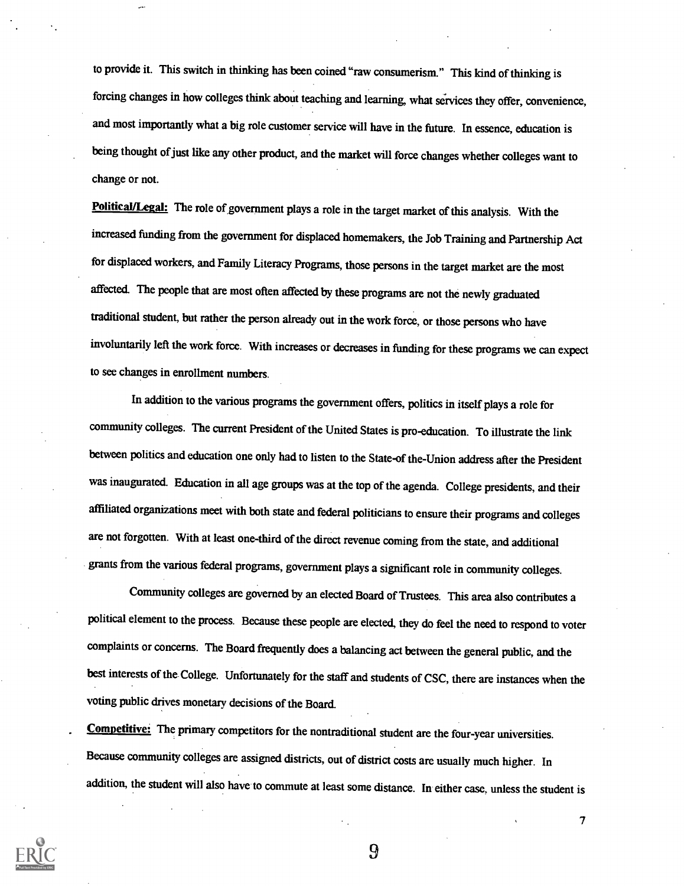to provide it. This switch in thinking has been coined "raw consumerism." This kind of thinking is forcing changes in how colleges think about teaching and learning, what services they offer, convenience, and most importantly what a big role customer service will have in the future. In essence, education is being thought of just like any other product, and the market will force changes whether colleges want to change or not.

Political/Legal: The role of government plays a role in the target market of this analysis. With the increased funding from the government for displaced homemakers, the Job Training and Partnership Act for displaced workers, and Family Literacy Programs, those persons in the target market are the most affected. The people that are most often affected by these programs are not the newly graduated traditional student, but rather the person already out in the work force, or those persons who have involuntarily left the work force. With increases or decreases in funding for these programs we can expect to see changes in enrollment numbers.

In addition to the various programs the government offers, politics in itself plays a role for community colleges. The current President of the United States is pro-education. To illustrate the link between politics and education one only had to listen to the State-of the-Union address after the President was inaugurated. Education in all age groups was at the top of the agenda. College presidents, and their affiliated organizations meet with both state and federal politicians to ensure their programs and colleges are not forgotten. With at least one-third of the direct revenue coming from the state, and additional grants from the various federal programs, government plays a significant role in community colleges.

Community colleges are governed by an elected Board of Trustees. This area also contributes a political element to the process. Because these people are elected, they do feel the need to respond to voter complaints or concerns. The Board frequently does a balancing act between the general public, and the best interests of the College. Unfortunately for the staff and students of CSC, there are instances when the voting public drives monetary decisions of the Board.

Competitive: The primary competitors for the nontraditional student are the four-year universities. Because community colleges are assigned districts, out of district costs are usually much higher. In addition, the student will also have to commute at least some distance. In either case, unless the student is



9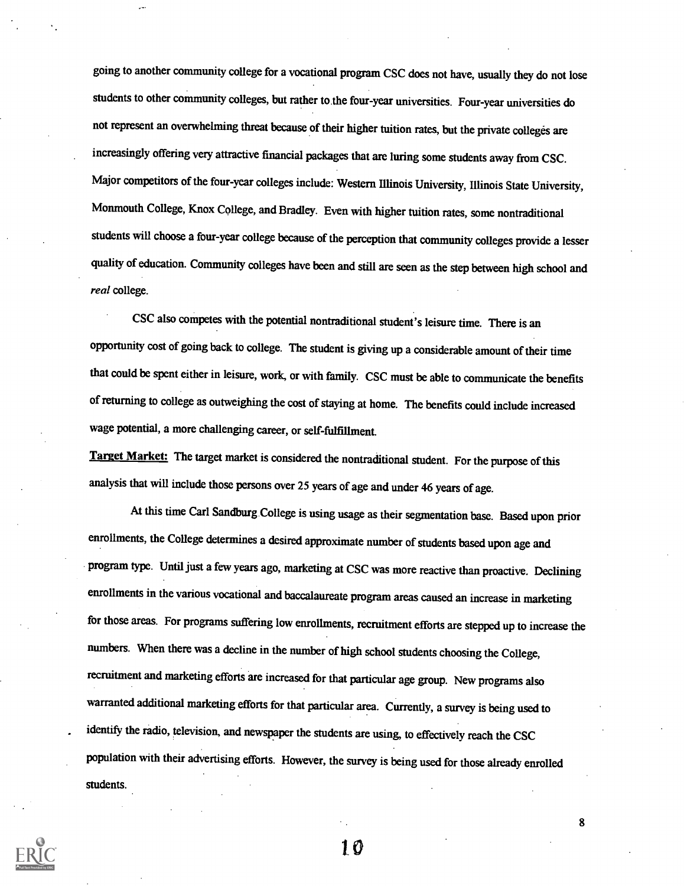going to another community college for a vocational program CSC does not have, usually they do not lose students to other community colleges, but rather to. the four-year universities. Four-year universities do not represent an overwhelming threat because of their higher tuition rates, but the private colleges are increasingly offering very attractive financial packages that are luring some students away from CSC. Major competitors of the four-year colleges include: Western Illinois University, Illinois State University, Monmouth College, Knox College, and Bradley. Even with higher tuition rates, some nontraditional students will choose a four-year college because of the perception that community colleges provide a lesser quality of education. Community colleges have been and still are seen as the step between high school and real college.

CSC also competes with the potential nontraditional student's leisure time. There is an opportunity cost of going back to college. The student is giving up a considerable amount of their time that could be spent either in leisure, work, or with family. CSC must be able to communicate the benefits of returning to college as outweighing the cost of staying at home. The benefits could include increased wage potential, a more challenging career, or self-fulfillment.

Target Market: The target market is considered the nontraditional student. For the purpose of this analysis that will include those persons over 25 years of age and under 46 years of age.

At this time Carl Sandburg College is using usage as their segmentation base. Based upon prior enrollments, the College determines a desired approximate number of students based upon age and program type. Until just a few years ago, marketing at CSC was more reactive than proactive. Declining enrollments in the various vocational and baccalaureate program areas caused an increase in marketing for those areas. For programs suffering low enrollments, recruitment efforts are stepped up to increase the numbers. When there was a decline in the number of high school students choosing the College, recruitment and marketing efforts are increased for that particular age group. New programs also warranted additional marketing efforts for that particular area. Currently, a survey is being used to identify the radio, television, and newspaper the students are using, to effectively reach the CSC population with their advertising efforts. However, the survey is being used for those already enrolled students.

to

 $\mathbf{R}$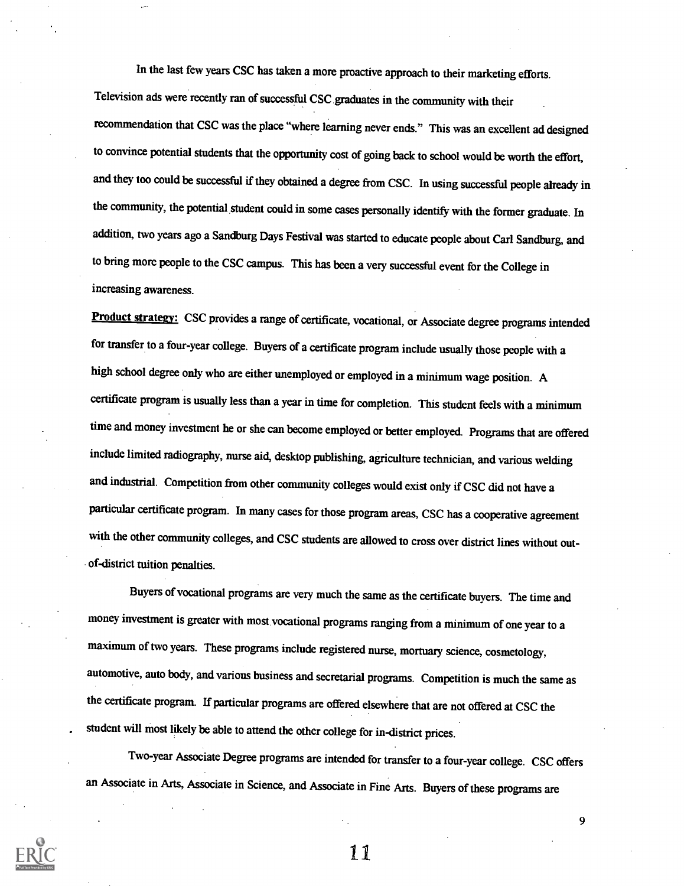In the last few years CSC has taken a more proactive approach to their marketing efforts. Television ads were recently ran of successful CSC graduates in the community with their recommendation that CSC was the place "where learning never ends." This was an excellent ad designed to convince potential students that the opportunity cost of going back to school would be worth the effort, and they too could be successful if they obtained a degree from CSC. In using successful people already in the community, the potential student could in some cases personally identify with the former graduate. In addition, two years ago a Sandburg Days Festival was started to educate people about Carl Sandburg, and to bring more people to the CSC campus. This has been a very successful event for the College in increasing awareness.

Product strategy: CSC provides a range of certificate, vocational, or Associate degree programs intended for transfer to a four-year college. Buyers of a certificate program include usually those people with a high school degree only who are either unemployed or employed in a minimum wage position. A certificate program is usually less than a year in time for completion. This student feels with a minimum time and money investment he or she can become employed or better employed. Programs that are offered include limited radiography, nurse aid, desktop publishing, agriculture technician, and various welding and industrial. Competition from other community colleges would exist only if CSC did not have a particular certificate program. In many cases for those program areas, CSC has a cooperative agreement with the other community colleges, and CSC students are allowed to cross over district lines without outof-district tuition penalties.

Buyers of vocational programs are very much the same as the certificate buyers. The time and money investment is greater with most vocational programs ranging from a minimum of one year to a maximum of two years. These programs include registered nurse, mortuary science, cosmetology, automotive, auto body, and various business and secretarial programs. Competition is much the same as the certificate program. If particular programs are offered elsewhere that are not offered at CSC the student will most likely be able to attend the other college for in-district prices.

Two-year Associate Degree programs are intended for transfer to a four-year college. CSC offers an Associate in Arts, Associate in Science, and Associate in Fine Arts. Buyers of these programs are



11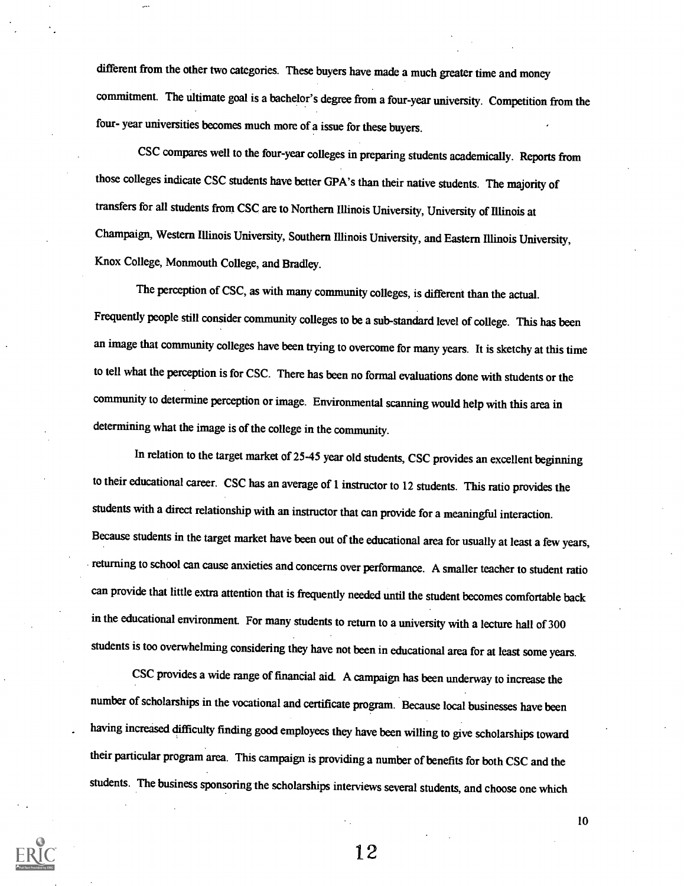different from the other two categories. These buyers have made a much greater time and money commitment. The ultimate goal is a bachelor's degree from a four-year university. Competition from the four- year universities becomes much more of a issue for these buyers.

CSC compares well to the four-year colleges in preparing students academically. Reports from those colleges indicate CSC students have better GPA's than their native students. The majority of transfers for all students from CSC are to Northern Illinois University, University of Illinois at Champaign, Western Illinois University, Southern Illinois University, and Eastern Illinois University, Knox College, Monmouth College, and Bradley.

The perception of CSC, as with many community colleges, is different than the actual. Frequently people still consider community colleges to be a sub-standard level of college. This has been an image that community colleges have been trying to overcome for many years. It is sketchy at this time to tell what the perception is for CSC. There has been no formal evaluations done with students or the community to determine perception or image. Environmental scanning would help with this area in determining what the image is of the college in the community.

In relation to the target market of 25-45 year old students, CSC provides an excellent beginning to their educational career. CSC has an average of 1 instructor to 12 students. This ratio provides the students with a direct relationship with an instructor that can provide for a meaningful interaction. Because students in the target market have been out of the educational area for usually at least a few years, returning to school can cause anxieties and concerns over performance. A smaller teacher to student ratio can provide that little extra attention that is frequently needed until the student becomes comfortable back in the educational environment. For many students to return to a university with a lecture hall of 300 students is too overwhelming considering they have not been in educational area for at least some years.

CSC provides a wide range of financial aid. A campaign has been underway to increase the number of scholarships in the vocational and certificate program. Because local businesses have been having increased difficulty finding good employees they have been willing to give scholarships toward their particular program area. This campaign is providing a number of benefits for both CSC and the students. The business sponsoring the scholarships interviews several students, and choose one which



12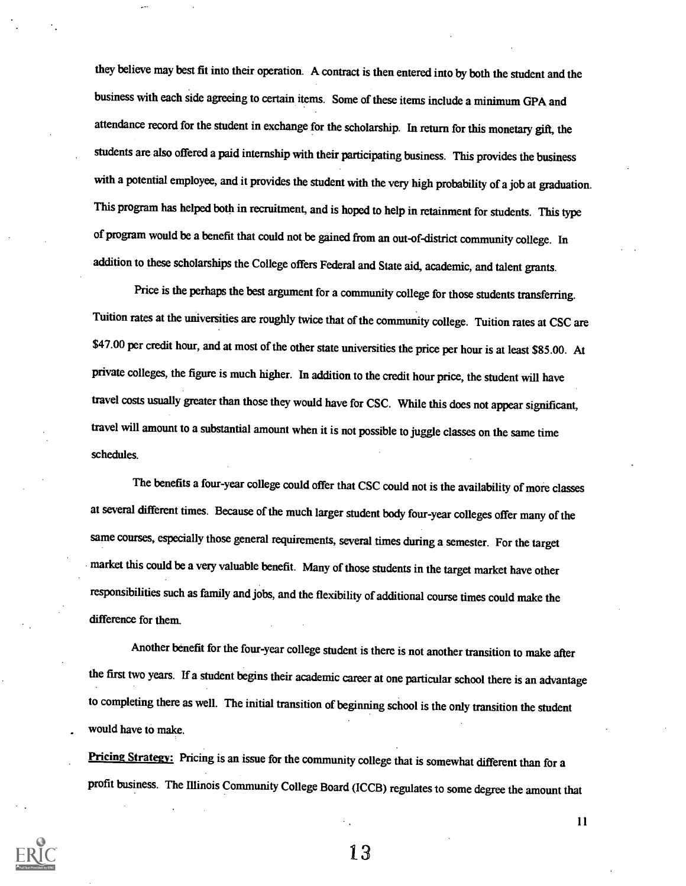they believe may best fit into their operation. A contract is then entered into by both the student and the business with each side agreeing to certain items. Some of these items include a minimum GPA and attendance record for the student in exchange for the scholarship. In return for this monetary gift, the students are also offered a paid internship with their participating business. This provides the business with a potential employee, and it provides the student with the very high probability of a job at graduation. This program has helped both in recruitment, and is hoped to help in retainment for students. This type of program would be a benefit that could not be gained from an out-of-district community college. In addition to these scholarships the College offers Federal and State aid, academic, and talent grants.

Price is the perhaps the best argument for a community college for those students transferring. Tuition rates at the universities are roughly twice that of the community college. Tuition rates at CSC are \$47.00 per credit hour, and at most of the other state universities the price per hour is at least \$85.00. At private colleges, the figure is much higher. In addition to the credit hour price, the student will have travel costs usually greater than those they would have for CSC. While this does not appear significant, travel will amount to a substantial amount when it is not possible to juggle classes on the same time schedules.

The benefits a four-year college could offer that CSC could not is the availability of more classes at several different times. Because of the much larger studentbody four-year colleges offer many of the same courses, especially those general requirements, several times during a semester. For the target market this could be a very valuable benefit. Many of those students in the target market have other responsibilities such as family and jobs, and the flexibility of additional course times could make the difference for them.

Another benefit for the four-year college student is there is not another transition to make after the first two years. If a student begins their academic career at one particular school there is an advantage to completing there as well. The initial transition of beginning school is the only transition the student would have to make.

Pricing Strategy: Pricing is an issue for the community college that is somewhat different than for a profit business. The Illinois Community College Board (ICCB) regulates to some degree the amount that



13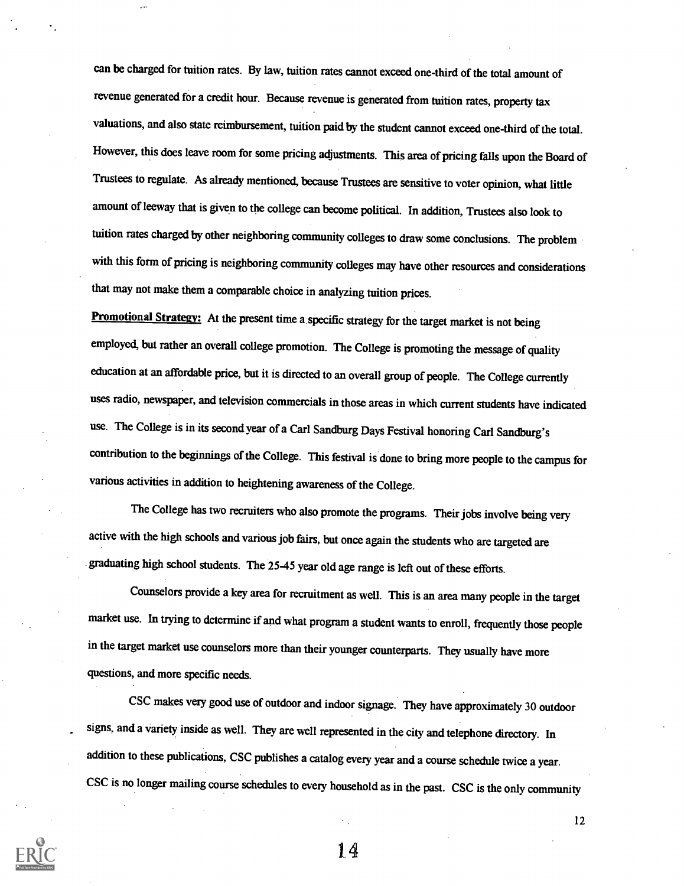can be charged for tuition rates. By law, tuition rates cannot exceed one-third of the total amount of revenue generated for a credit hour. Because revenue is generated from tuition rates, property tax valuations, and also state reimbursement, tuition paid by the student cannot exceed one-third of the total. However, this does leave room forsome pricing adjustments. This area of pricing falls upon the Board of Trustees to regulate. As already mentioned, because Trustees are sensitive to voter opinion, what little amount of leeway that is given to the college can become political. In addition, Trustees also look to tuition rates charged by other neighboring community colleges to draw some conclusions. The problem with this form of pricing is neighboring community colleges may have other resources and considerations that may not make them a comparable choice in analyzing tuition prices.

Promotional Strategy: At the present time a specific strategy for the target market is not being employed, but rather an overall college promotion. The College is promoting the message of quality education at an affordable price, but it is directed to an overall group of people. The College currently uses radio, newspaper, and television commercials in those areas in which current students have indicated use. The College is in its second year of a Carl Sandburg Days Festival honoring Carl Sandburg's contribution to the beginnings of the College. This festival is done to bring more people to the campus for various activities in addition to heightening awareness of the College.

The College has two recruiters who also promote the programs. Their jobs involve being very active with the high schools and various job fairs, but once again the students who are targeted are graduating high school students. The 25-45 year old age range is left out of these efforts.

Counselors provide a key area for recruitment as well. This is an area many people in the target market use. In trying to determine if and what program a student wants to enroll, frequently those people in the target market use counselors more than their younger counterparts. They usually have more questions, and more specific needs.

CSC makes very good use of outdoor and indoor signage. They have approximately 30 outdoor signs, and a variety inside as well. They are well represented in the city and telephone directory. In addition to these publications, CSC publishes a catalog every year and a course schedule twice a year. CSC is no longer mailing course schedules to every household as in the past. CSC is the only community



14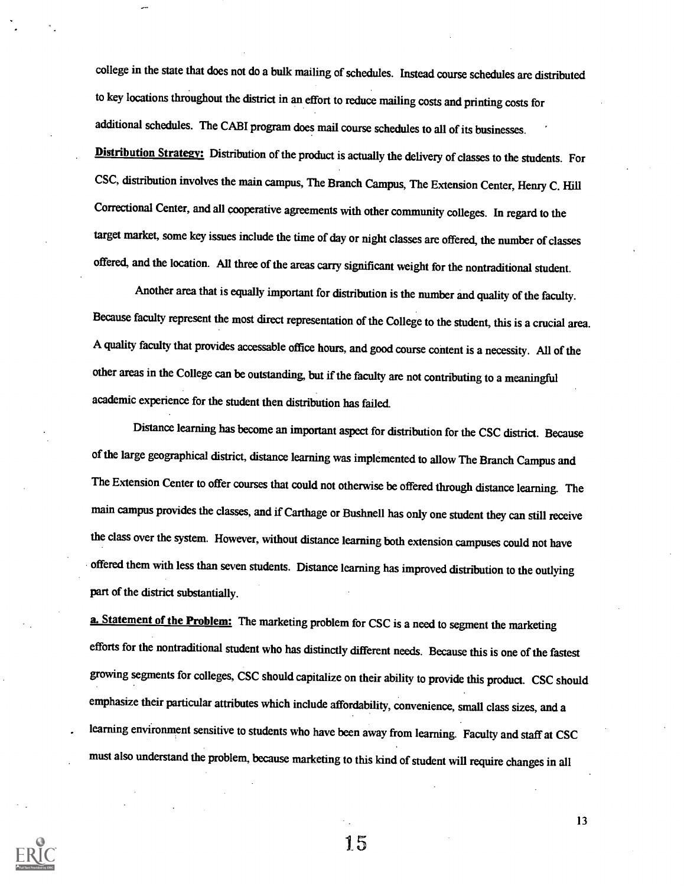college in the state that does not do a bulk mailing of schedules. Instead course schedules are distributed to key locations throughout the district in an effort to reduce mailing costs and printing costs for additional schedules. The CABI program does mail course schedules to all of its businesses.

Distribution Strategy: Distribution of the product is actually the delivery of classes to the students. For CSC, distribution involves the main campus, The Branch Campus, The Extension Center, Henry C. Hill Correctional Center, and all cooperative agreements with other community colleges. In regard to the target market, some key issues include the time of day or night classes are offered, the number of classes offered, and the location. All three of the areas carry significant weight for the nontraditional student.

Another area that is equally important for distribution is the number and quality of the faculty. Because faculty represent the most direct representation of the College to the student, this is a crucial area. A quality faculty that provides accessable office hours, and good course content is a necessity. All of the other areas in the College can be outstanding, but if the faculty are not contributing to a meaningful academic experience for the student then distribution has failed.

Distance learning has become an important aspect for distribution for the CSC district. Because of the large geographical district, distance learning was implemented to allow The Branch Campus and The Extension Center to offer courses that could not otherwise be offered through distance learning. The main campus provides the classes, and if Carthage or Bushnell has only one student they can still receive the class over the system. However, without distance learning both extension campuses could not have offered them with less than seven students. Distance learning has improved distribution to the outlying part of the district substantially.

a. Statement of the Problem: The marketing problem for CSC is a need to segment the marketing efforts for the nontraditional student who has distinctly different needs. Because this is one of the fastest growing segments for colleges, CSC should capitalize on their ability to provide this product. CSC should emphasize their particular attributes which include affordability, convenience, small class sizes, and a learning environment sensitive to students who have been away from learning. Faculty and staff at CSC must also understand the problem, because marketing to this kind of student will require changes in all



1.5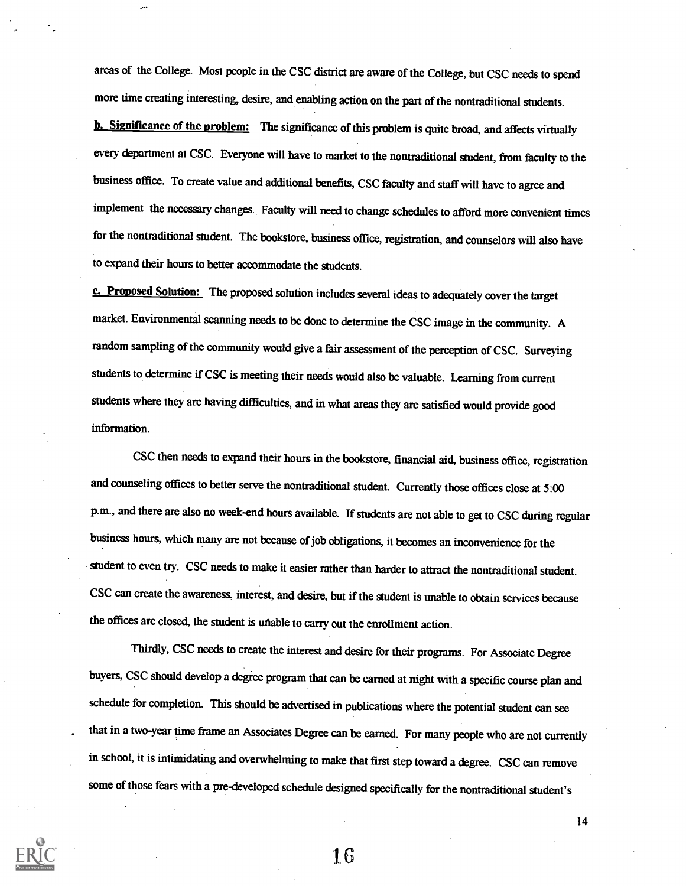areas of the College. Most people in the CSC district are aware of the College, but CSC needs to spend more time creating interesting, desire, and enabling action on the part of the nontraditional students.

**b.** Significance of the problem: The significance of this problem is quite broad, and affects virtually every department at CSC. Everyone will have to market to the nontraditional student, from faculty to the business office. To create value and additional benefits, CSC faculty and staff will have to agree and implement the necessary changes.. Faculty will need to change schedules to afford more convenient times for the nontraditional student. The bookstore, business office, registration, and counselors will also have to expand their hours to better accommodate the students.

c. Proposed Solution: The proposed solution includes several ideas to adequately cover the target market. Environmental scanning needs to be done to determine the CSC image in the community. A random sampling of the community would give a fair assessment of the perception of CSC. Surveying students to determine if CSC is meeting their needs would also be valuable. Learning from current students where they are having difficulties, and in what areas they are satisfied would provide good information.

CSC then needs to expand their hours in the bookstore, financial aid, business office, registration and counseling offices to better serve the nontraditional student. Currently those offices close at 5:00 p.m., and there are also no week-end hours available. If students are not able to get to CSC during regular business hours, which many are not because of job obligations, it becomes an inconvenience for the student to even try. CSC needs to make it easier rather than harder to attract the nontraditional student. CSC can create the awareness, interest, and desire, but if the student is unable to obtain services because the offices are closed, the student is unable to carry out the enrollment action.

Thirdly, CSC needs to create the interest and desire for their programs. For Associate Degree buyers, CSC should develop a degree program that can be earned at night with a specific course plan and schedule for completion. This should be advertised in publications where the potential student can see that in a two-year time frame an Associates Degree can be earned. For many people who are not currently in school, it is intimidating and overwhelming to make that first step toward a degree. CSC can remove some of those fears with a pre-developed schedule designed specifically for the nontraditional student's

1.6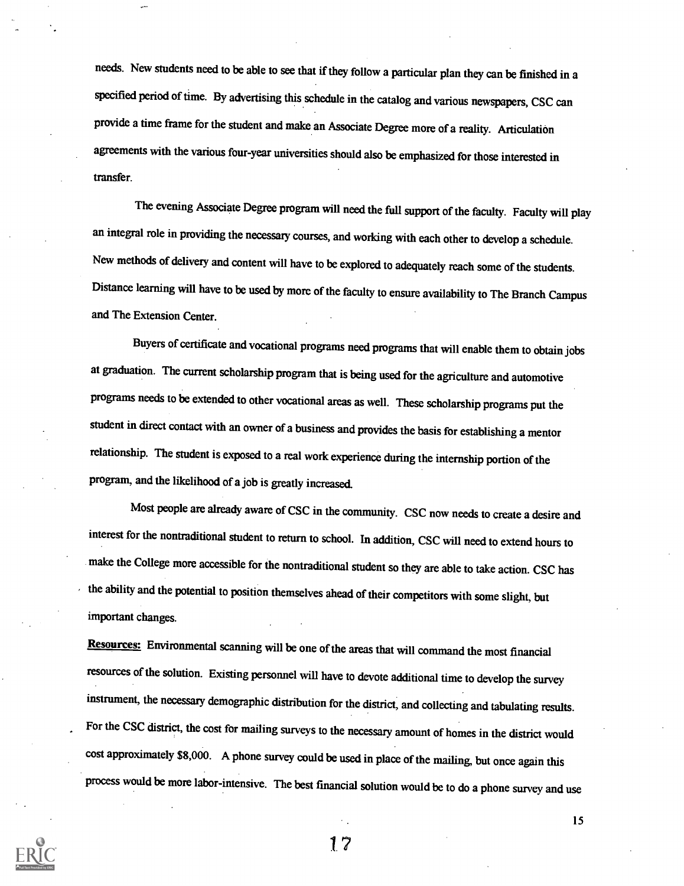needs. New students need to be able to see that if they follow a particular plan they can be finished in a specified period of time. By advertising this schedule in the catalog and various newspapers, CSC can provide a time frame for the student and make an Associate Degree more of a reality. Articulation agreements with the various four-year universities should also be emphasized for those interested in transfer.

The evening Associate Degree program will need the full support of the faculty. Faculty will play an integral role in providing the necessary courses, and working with each other to develop a schedule. New methods of delivery and content will have to be explored to adequately reach some of the students. Distance learning will have to be used by more of the faculty to ensure availability to The Branch Campus and The Extension Center.

Buyers of certificate and vocational programs need programs that will enable them to obtain jobs at graduation. The current scholarship program that is being used for the agriculture and automotive programs needs to be extended to other vocational areas as well. These scholarship programs put the student in direct contact with an owner of a business and provides the basis for establishing a mentor relationship. The student is exposed to a real work experience during the internship portion of the program, and the likelihood of a job is greatly increased.

Most people are already aware of CSC in the community. CSC now needs to create a desire and interest for the nontraditional student to return to school. In addition, CSC will need to extend hours to make the College more accessible for the nontraditional student so they are able to take action. CSC has the ability and the potential to position themselves ahead of their competitors with some slight, but important changes.

Resources: Environmental scanning will be one of the areas that will command the most financial resources of the solution. Existing personnel will have to devote additional time to develop the survey instrument, the necessary demographic distribution for the district, and collecting and tabulating results. For the CSC district, the cost for mailing surveys to the necessary amount of homes in the district would cost approximately \$8,000. A phone survey could be used in place of the mailing, but once again this process would be more labor-intensive. The best financial solution would be to do a phone survey and use



1.7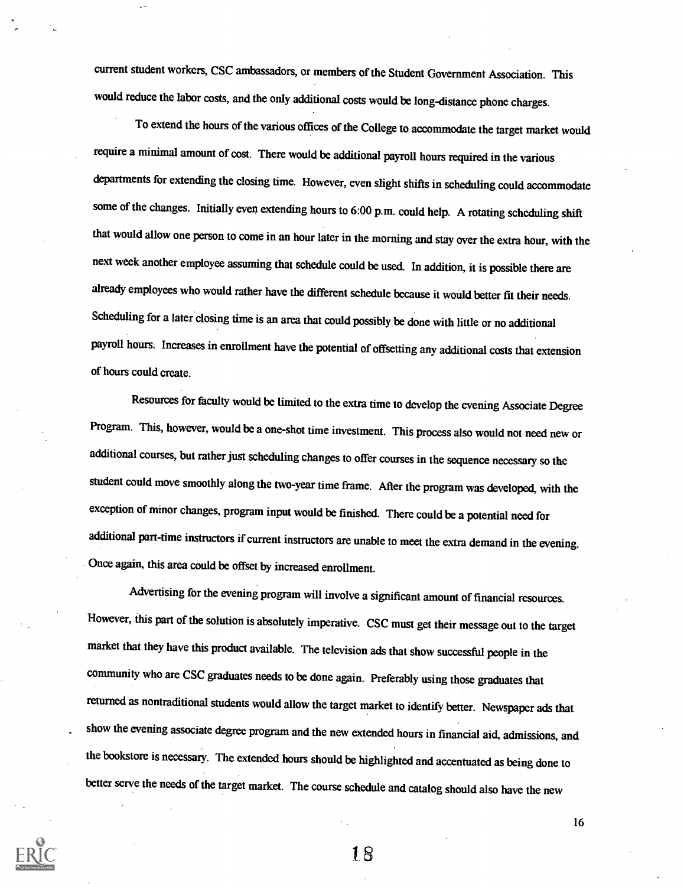current student workers, CSC ambassadors, or members of the Student Government Association. This would reduce the labor costs, and the only additional costs would be long-distance phone charges.

To extend the hours of the various offices of the College to accommodate the target market would require a minimal amount of cost. There would be additional payroll hours required in the various departments for extending the closing time. However, even slight shifts in scheduling could accommodate some of the changes. Initially even extending hours to 6:00 p.m. could help. A rotating scheduling shift that would allow one person to come in an hour later in the morning and stay over the extra hour, with the next week another employee assuming that schedule could be used. In addition, it is possible there are already employees who would rather have the different schedule because it would better fit their needs. Scheduling for a later closing time is an area that could possibly be done with little or no additional payroll hours. Increases in enrollment have the potential of offsetting any additional costs that extension of hours could create.

Resources for faculty would be limited to the extra time to develop the evening Associate Degree Program. This, however, would be a one-shot time investment. This process also would not need new or additional courses, but rather just scheduling changes to offer courses in the sequence necessary so the student could move smoothly along the two-year time frame. After the program was developed, with the exception of minor changes, program input would be finished. There could be a potential need for additional part-time instructors if current instructors are unable to meet the extra demand in the evening. Once again, this area could be offset by increased enrollment.

Advertising for the evening program will involve a significant amount of financial resources. However, this part of the solution is absolutely imperative. CSC must get their message out to the target market that they have this product available. The television ads that show successful people in the community who are CSC graduates needs to be done again. Preferably using those graduates that returned as nontraditional students would allow the target market to identify better. Newspaperads that show the evening associate degree program and the new extended hours in financial aid, admissions, and the bookstore is necessary. The extended hours should be highlighted and accentuated as being done to better serve the needs of the target market. The course schedule and catalog should also have the new



18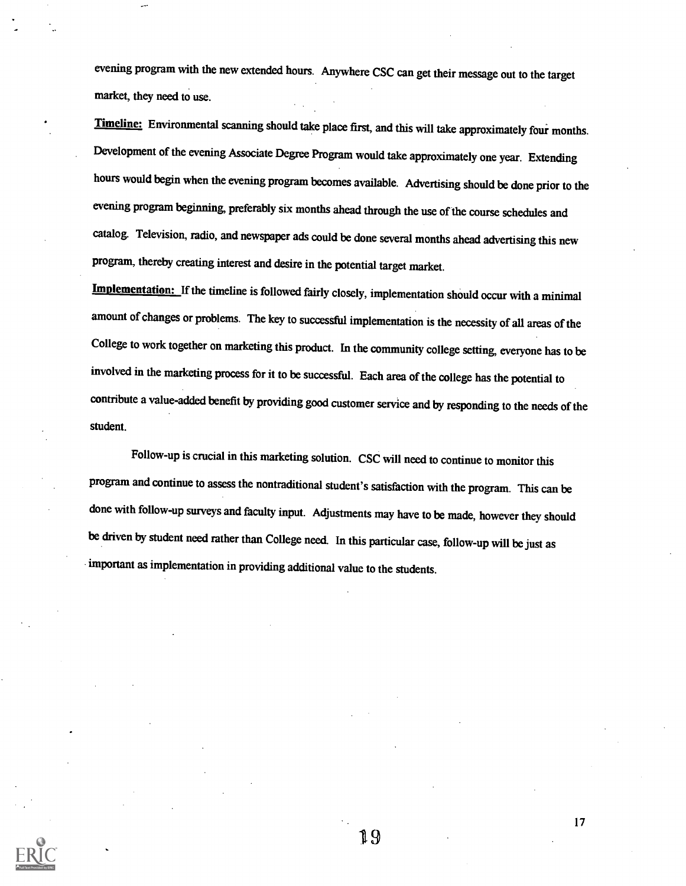evening program with the new extended hours. Anywhere CSC can get their message out to the target market, they need to use.

Timeline: Environmental scanning should take place first, and this will take approximately four months. Development of the evening Associate Degree Program would take approximately one year. Extending hours would begin when the evening program becomes available. Advertising should be done prior to the evening program beginning, preferably six months ahead through the use of the course schedules and catalog. Television, radio, and newspaper ads could be done several months ahead advertising this new program, thereby creating interest and desire in the potential target market.

Implementation: If the timeline is followed fairly closely, implementation should occur with a minimal amount of changes or problems. The key to successful implementation is the necessity of all areas of the College to work together on marketing this product. In the community college setting, everyone has to be involved in the marketing process for it to be successful. Each area of the college has the potential to contribute a value-added benefit by providing good customer service and by responding to the needs of the student.

Follow-up is crucial in this marketing solution. CSC will need to continue to monitor this program and continue to assess the nontraditional student's satisfaction with the program. This can be done with follow-up surveys and faculty input. Adjustments may have to be made, however they should be driven by student need rather than College need. In this particular case, follow-up will be just as important as implementation in providing additional value to the students.



19